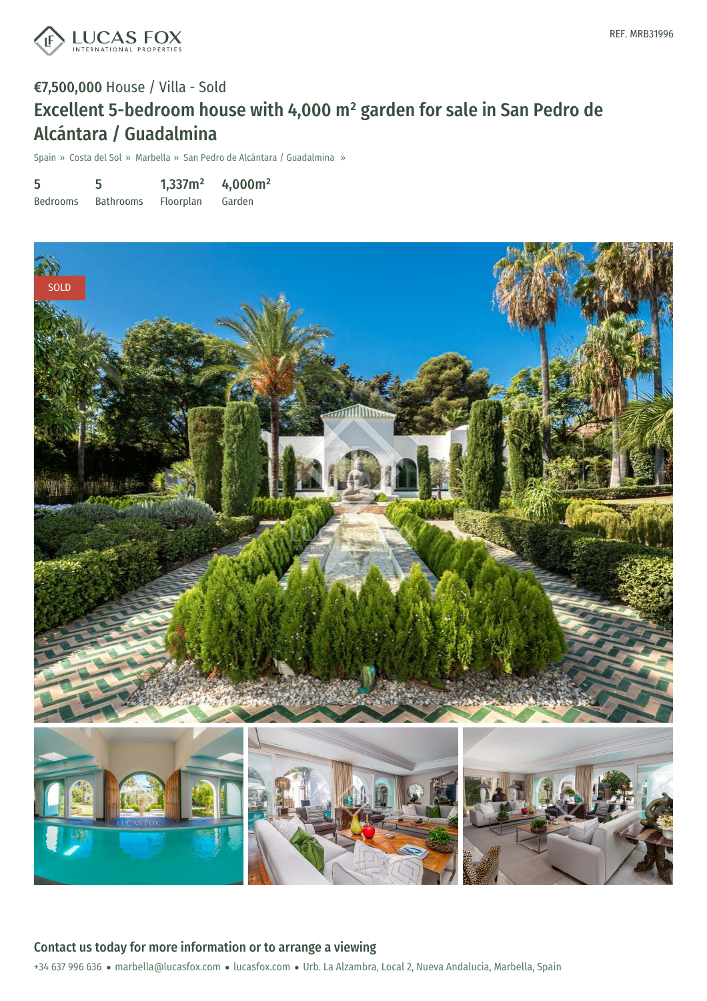

# €7,500,000 House / Villa - Sold Excellent 5-bedroom house with 4,000 m² garden for sale in San Pedro de Alcántara / Guadalmina

Spain » Costa del Sol » Marbella » San Pedro de Alcántara / Guadalmina »

| 5               | 5                | 1,337m <sup>2</sup> | 4,000m <sup>2</sup> |
|-----------------|------------------|---------------------|---------------------|
| <b>Bedrooms</b> | <b>Bathrooms</b> | Floorplan           | Garden              |

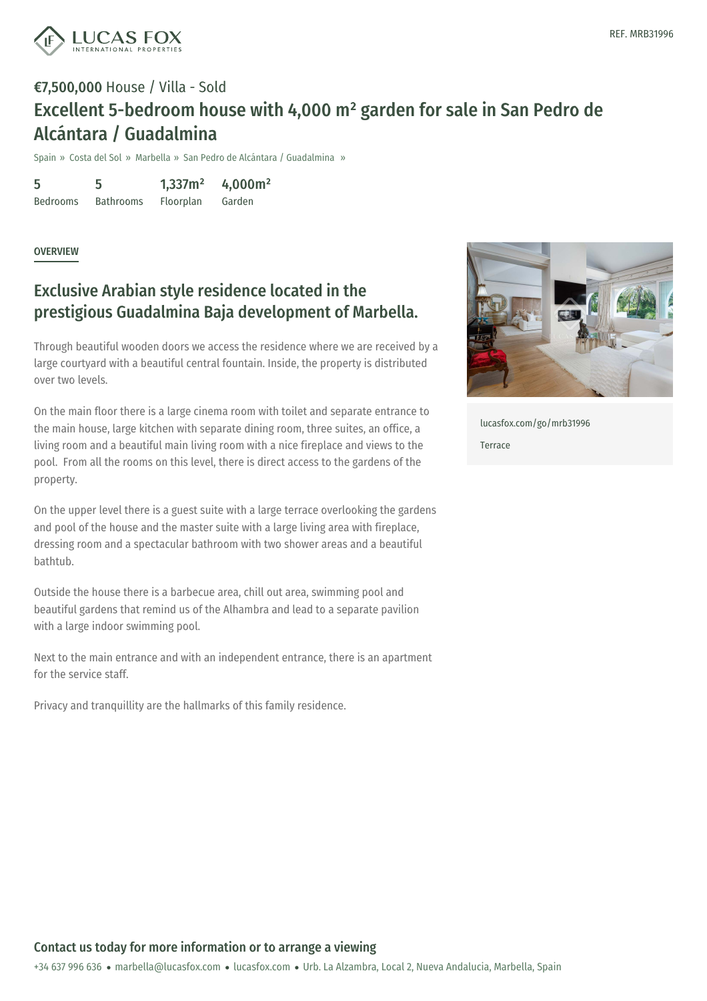

## €7,500,000 House / Villa - Sold Excellent 5-bedroom house with 4,000 m² garden for sale in San Pedro de Alcántara / Guadalmina

Spain » Costa del Sol » Marbella » San Pedro de Alcántara / Guadalmina »

5 Bedrooms 5 Bathrooms 1,337m² Floorplan 4,000m² Garden

**OVERVIEW** 

### Exclusive Arabian style residence located in the prestigious Guadalmina Baja development of Marbella.

Through beautiful wooden doors we access the residence where we are received by a large courtyard with a beautiful central fountain. Inside, the property is distributed over two levels.

On the main floor there is a large cinema room with toilet and separate entrance to the main house, large kitchen with separate dining room, three suites, an office, a living room and a beautiful main living room with a nice fireplace and views to the pool. From all the rooms on this level, there is direct access to the gardens of the property.

On the upper level there is a guest suite with a large terrace overlooking the gardens and pool of the house and the master suite with a large living area with fireplace, dressing room and a spectacular bathroom with two shower areas and a beautiful bathtub.

Outside the house there is a barbecue area, chill out area, swimming pool and beautiful gardens that remind us of the Alhambra and lead to a separate pavilion with a large indoor swimming pool.

Next to the main entrance and with an independent entrance, there is an apartment for the service staff.

Privacy and tranquillity are the hallmarks of this family residence.



[lucasfox.com/go/mrb31996](https://www.lucasfox.com/go/mrb31996) Terrace